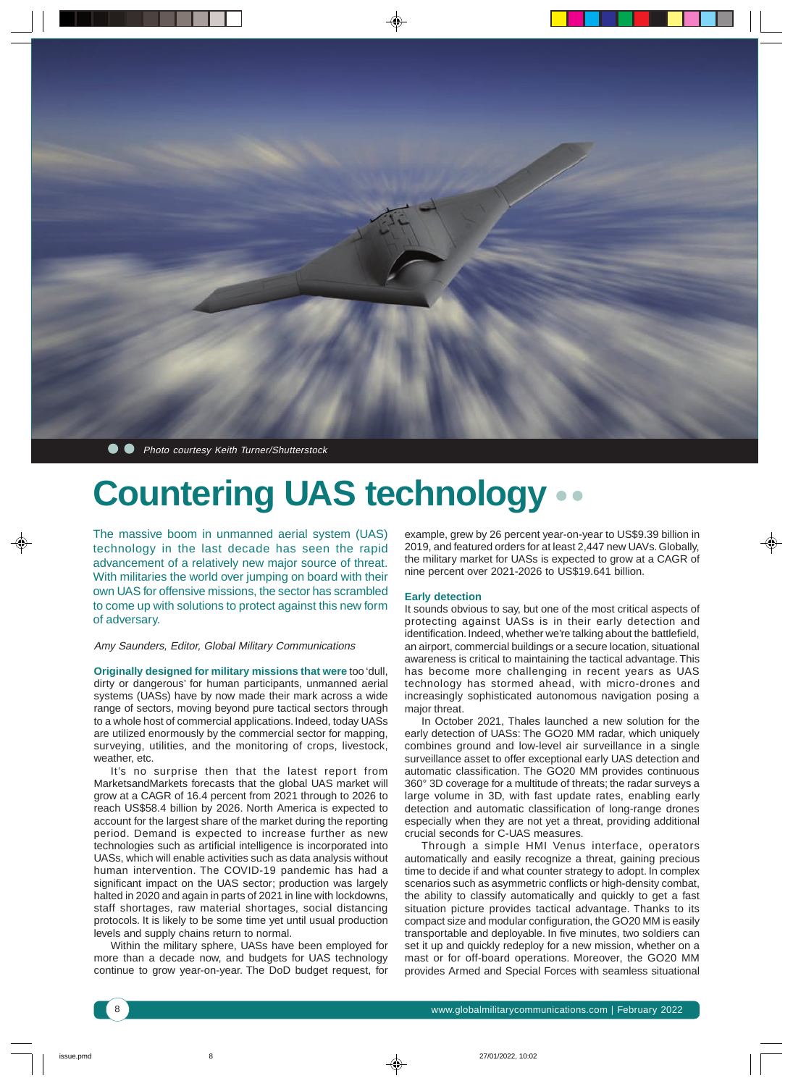

**• •** Photo courtesy Keith Turner/Shutterstock

## **Countering UAS technology**

The massive boom in unmanned aerial system (UAS) technology in the last decade has seen the rapid advancement of a relatively new major source of threat. With militaries the world over jumping on board with their own UAS for offensive missions, the sector has scrambled to come up with solutions to protect against this new form of adversary.

### Amy Saunders, Editor, Global Military Communications

**Originally designed for military missions that were** too 'dull, dirty or dangerous' for human participants, unmanned aerial systems (UASs) have by now made their mark across a wide range of sectors, moving beyond pure tactical sectors through to a whole host of commercial applications. Indeed, today UASs are utilized enormously by the commercial sector for mapping, surveying, utilities, and the monitoring of crops, livestock, weather, etc.

It's no surprise then that the latest report from MarketsandMarkets forecasts that the global UAS market will grow at a CAGR of 16.4 percent from 2021 through to 2026 to reach US\$58.4 billion by 2026. North America is expected to account for the largest share of the market during the reporting period. Demand is expected to increase further as new technologies such as artificial intelligence is incorporated into UASs, which will enable activities such as data analysis without human intervention. The COVID-19 pandemic has had a significant impact on the UAS sector; production was largely halted in 2020 and again in parts of 2021 in line with lockdowns, staff shortages, raw material shortages, social distancing protocols. It is likely to be some time yet until usual production levels and supply chains return to normal.

Within the military sphere, UASs have been employed for more than a decade now, and budgets for UAS technology continue to grow year-on-year. The DoD budget request, for

example, grew by 26 percent year-on-year to US\$9.39 billion in 2019, and featured orders for at least 2,447 new UAVs. Globally, the military market for UASs is expected to grow at a CAGR of nine percent over 2021-2026 to US\$19.641 billion.

### **Early detection**

It sounds obvious to say, but one of the most critical aspects of protecting against UASs is in their early detection and identification. Indeed, whether we're talking about the battlefield, an airport, commercial buildings or a secure location, situational awareness is critical to maintaining the tactical advantage. This has become more challenging in recent years as UAS technology has stormed ahead, with micro-drones and increasingly sophisticated autonomous navigation posing a major threat.

In October 2021, Thales launched a new solution for the early detection of UASs: The GO20 MM radar, which uniquely combines ground and low-level air surveillance in a single surveillance asset to offer exceptional early UAS detection and automatic classification. The GO20 MM provides continuous 360° 3D coverage for a multitude of threats; the radar surveys a large volume in 3D, with fast update rates, enabling early detection and automatic classification of long-range drones especially when they are not yet a threat, providing additional crucial seconds for C-UAS measures.

Through a simple HMI Venus interface, operators automatically and easily recognize a threat, gaining precious time to decide if and what counter strategy to adopt. In complex scenarios such as asymmetric conflicts or high-density combat, the ability to classify automatically and quickly to get a fast situation picture provides tactical advantage. Thanks to its compact size and modular configuration, the GO20 MM is easily transportable and deployable. In five minutes, two soldiers can set it up and quickly redeploy for a new mission, whether on a mast or for off-board operations. Moreover, the GO20 MM provides Armed and Special Forces with seamless situational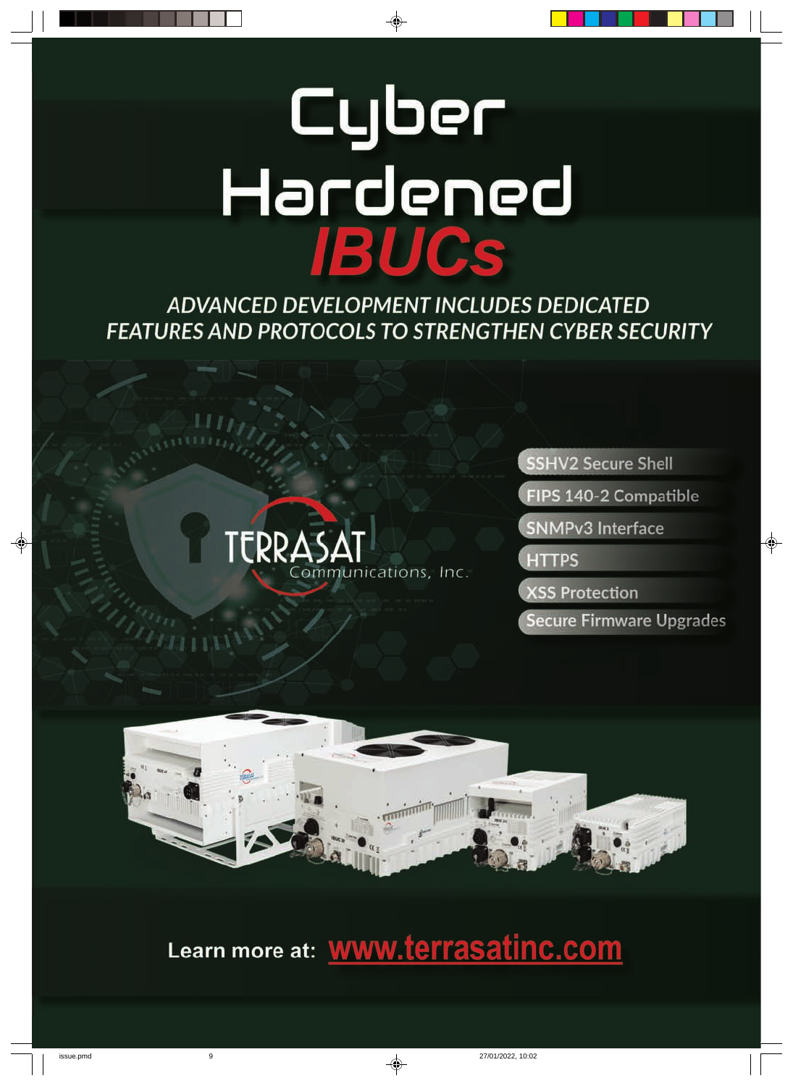# Cyber Hardened<br>1800s

ADVANCED DEVELOPMENT INCLUDES DEDICATED **FEATURES AND PROTOCOLS TO STRENGTHEN CYBER SECURITY** 



SSHV2 Secure Shell

FIPS 140-2 Compatible

**SNMPv3 Interface** 

**HTTPS** 

**XSS Protection** 

**Secure Firmware Upgrades** 



Learn more at: WWW.terrasatinc.com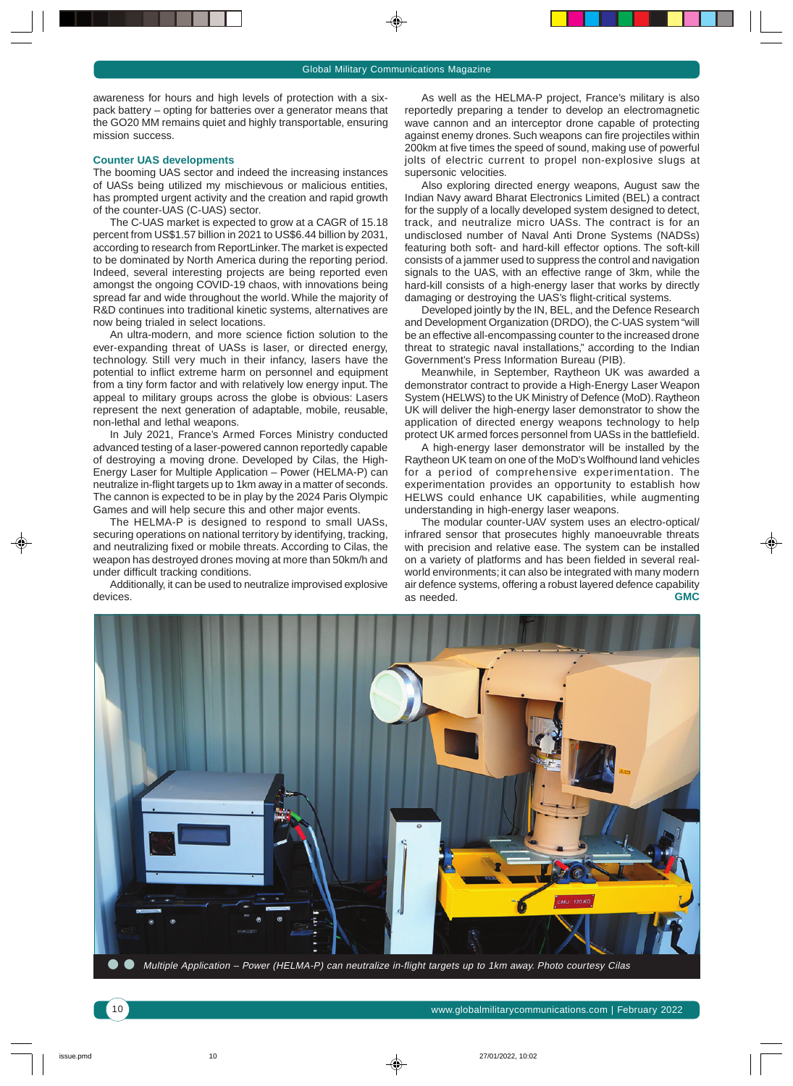awareness for hours and high levels of protection with a sixpack battery – opting for batteries over a generator means that the GO20 MM remains quiet and highly transportable, ensuring mission success.

#### **Counter UAS developments**

The booming UAS sector and indeed the increasing instances of UASs being utilized my mischievous or malicious entities, has prompted urgent activity and the creation and rapid growth of the counter-UAS (C-UAS) sector.

The C-UAS market is expected to grow at a CAGR of 15.18 percent from US\$1.57 billion in 2021 to US\$6.44 billion by 2031, according to research from ReportLinker. The market is expected to be dominated by North America during the reporting period. Indeed, several interesting projects are being reported even amongst the ongoing COVID-19 chaos, with innovations being spread far and wide throughout the world. While the majority of R&D continues into traditional kinetic systems, alternatives are now being trialed in select locations.

An ultra-modern, and more science fiction solution to the ever-expanding threat of UASs is laser, or directed energy, technology. Still very much in their infancy, lasers have the potential to inflict extreme harm on personnel and equipment from a tiny form factor and with relatively low energy input. The appeal to military groups across the globe is obvious: Lasers represent the next generation of adaptable, mobile, reusable, non-lethal and lethal weapons.

In July 2021, France's Armed Forces Ministry conducted advanced testing of a laser-powered cannon reportedly capable of destroying a moving drone. Developed by Cilas, the High-Energy Laser for Multiple Application – Power (HELMA-P) can neutralize in-flight targets up to 1km away in a matter of seconds. The cannon is expected to be in play by the 2024 Paris Olympic Games and will help secure this and other major events.

The HELMA-P is designed to respond to small UASs, securing operations on national territory by identifying, tracking, and neutralizing fixed or mobile threats. According to Cilas, the weapon has destroyed drones moving at more than 50km/h and under difficult tracking conditions.

Additionally, it can be used to neutralize improvised explosive devices.

As well as the HELMA-P project, France's military is also reportedly preparing a tender to develop an electromagnetic wave cannon and an interceptor drone capable of protecting against enemy drones. Such weapons can fire projectiles within 200km at five times the speed of sound, making use of powerful jolts of electric current to propel non-explosive slugs at supersonic velocities.

Also exploring directed energy weapons, August saw the Indian Navy award Bharat Electronics Limited (BEL) a contract for the supply of a locally developed system designed to detect, track, and neutralize micro UASs. The contract is for an undisclosed number of Naval Anti Drone Systems (NADSs) featuring both soft- and hard-kill effector options. The soft-kill consists of a jammer used to suppress the control and navigation signals to the UAS, with an effective range of 3km, while the hard-kill consists of a high-energy laser that works by directly damaging or destroying the UAS's flight-critical systems.

Developed jointly by the IN, BEL, and the Defence Research and Development Organization (DRDO), the C-UAS system "will be an effective all-encompassing counter to the increased drone threat to strategic naval installations," according to the Indian Government's Press Information Bureau (PIB).

Meanwhile, in September, Raytheon UK was awarded a demonstrator contract to provide a High-Energy Laser Weapon System (HELWS) to the UK Ministry of Defence (MoD). Raytheon UK will deliver the high-energy laser demonstrator to show the application of directed energy weapons technology to help protect UK armed forces personnel from UASs in the battlefield.

A high-energy laser demonstrator will be installed by the Raytheon UK team on one of the MoD's Wolfhound land vehicles for a period of comprehensive experimentation. The experimentation provides an opportunity to establish how HELWS could enhance UK capabilities, while augmenting understanding in high-energy laser weapons.

The modular counter-UAV system uses an electro-optical/ infrared sensor that prosecutes highly manoeuvrable threats with precision and relative ease. The system can be installed on a variety of platforms and has been fielded in several realworld environments; it can also be integrated with many modern air defence systems, offering a robust layered defence capability<br>as needed. **GMC** as needed.



Multiple Application – Power (HELMA-P) can neutralize in-flight targets up to 1km away. Photo courtesy Cilas